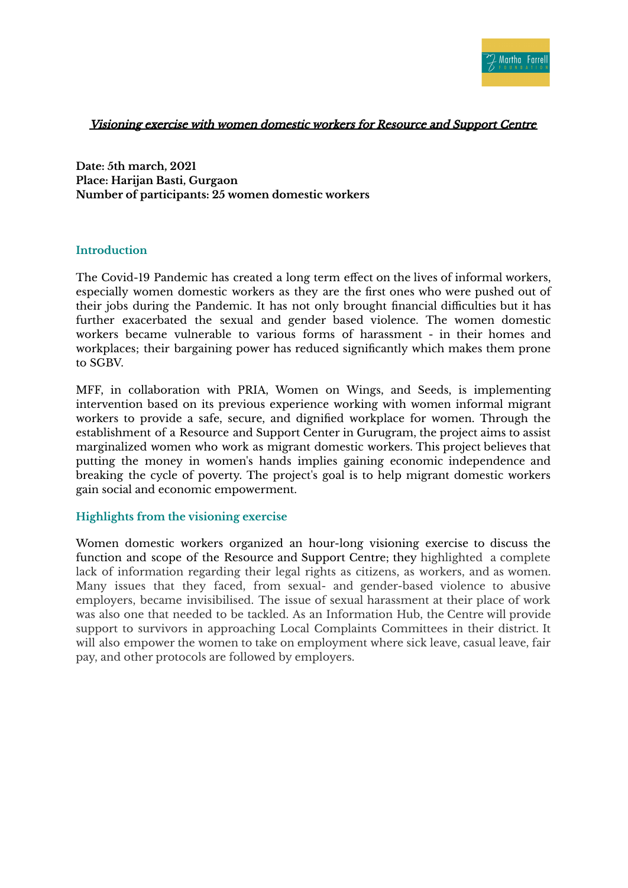

## Visioning exercise with women domestic workers for Resource and Support Centre

**Date: 5th march, 2021 Place: Harijan Basti, Gurgaon Number of participants: 25 women domestic workers**

## **Introduction**

The Covid-19 Pandemic has created a long term effect on the lives of informal workers, especially women domestic workers as they are the first ones who were pushed out of their jobs during the Pandemic. It has not only brought financial difficulties but it has further exacerbated the sexual and gender based violence. The women domestic workers became vulnerable to various forms of harassment - in their homes and workplaces; their bargaining power has reduced significantly which makes them prone to SGBV.

MFF, in collaboration with PRIA, Women on Wings, and Seeds, is implementing intervention based on its previous experience working with women informal migrant workers to provide a safe, secure, and dignified workplace for women. Through the establishment of a Resource and Support Center in Gurugram, the project aims to assist marginalized women who work as migrant domestic workers. This project believes that putting the money in women's hands implies gaining economic independence and breaking the cycle of poverty. The project's goal is to help migrant domestic workers gain social and economic empowerment.

## **Highlights from the visioning exercise**

Women domestic workers organized an hour-long visioning exercise to discuss the function and scope of the Resource and Support Centre; they highlighted a complete lack of information regarding their legal rights as citizens, as workers, and as women. Many issues that they faced, from sexual- and gender-based violence to abusive employers, became invisibilised. The issue of sexual harassment at their place of work was also one that needed to be tackled. As an Information Hub, the Centre will provide support to survivors in approaching Local Complaints Committees in their district. It will also empower the women to take on employment where sick leave, casual leave, fair pay, and other protocols are followed by employers.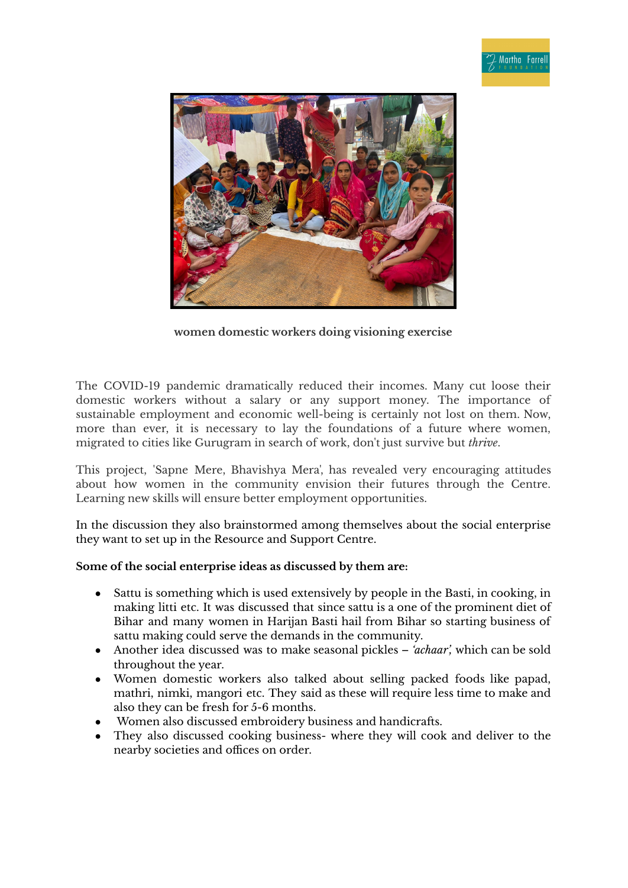

**women domestic workers doing visioning exercise**

The COVID-19 pandemic dramatically reduced their incomes. Many cut loose their domestic workers without a salary or any support money. The importance of sustainable employment and economic well-being is certainly not lost on them. Now, more than ever, it is necessary to lay the foundations of a future where women, migrated to cities like Gurugram in search of work, don't just survive but *thrive*.

This project, 'Sapne Mere, Bhavishya Mera', has revealed very encouraging attitudes about how women in the community envision their futures through the Centre. Learning new skills will ensure better employment opportunities.

In the discussion they also brainstormed among themselves about the social enterprise they want to set up in the Resource and Support Centre.

## **Some of the social enterprise ideas as discussed by them are:**

- Sattu is something which is used extensively by people in the Basti, in cooking, in making litti etc. It was discussed that since sattu is a one of the prominent diet of Bihar and many women in Harijan Basti hail from Bihar so starting business of sattu making could serve the demands in the community.
- Another idea discussed was to make seasonal pickles *'achaar',* which can be sold throughout the year.
- Women domestic workers also talked about selling packed foods like papad, mathri, nimki, mangori etc. They said as these will require less time to make and also they can be fresh for 5-6 months.
- Women also discussed embroidery business and handicrafts.
- They also discussed cooking business- where they will cook and deliver to the nearby societies and offices on order.